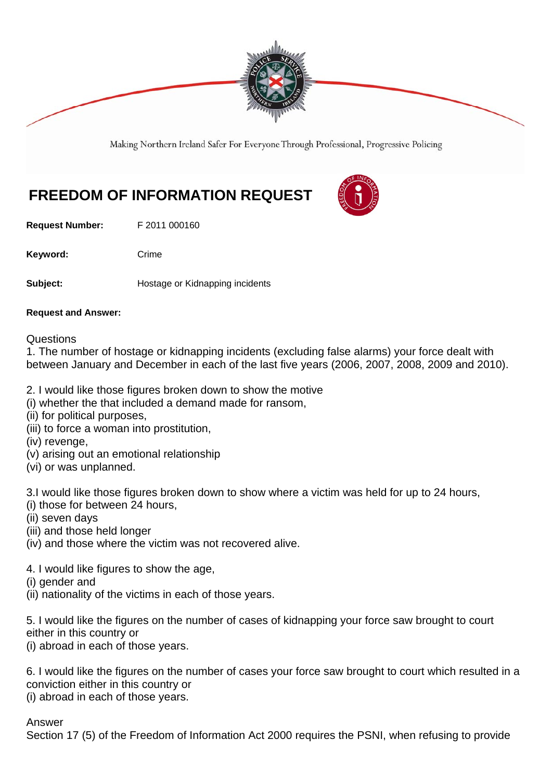

Making Northern Ireland Safer For Everyone Through Professional, Progressive Policing

## **FREEDOM OF INFORMATION REQUEST**

**Request Number:** F 2011 000160

Keyword: Crime

**Subject: Hostage or Kidnapping incidents** 

## **Request and Answer:**

**Questions** 

1. The number of hostage or kidnapping incidents (excluding false alarms) your force dealt with between January and December in each of the last five years (2006, 2007, 2008, 2009 and 2010).

- 2. I would like those figures broken down to show the motive
- (i) whether the that included a demand made for ransom,
- (ii) for political purposes,
- (iii) to force a woman into prostitution,
- (iv) revenge,
- (v) arising out an emotional relationship
- (vi) or was unplanned.

3.I would like those figures broken down to show where a victim was held for up to 24 hours,

- (i) those for between 24 hours,
- (ii) seven days
- (iii) and those held longer
- (iv) and those where the victim was not recovered alive.
- 4. I would like figures to show the age,
- (i) gender and
- (ii) nationality of the victims in each of those years.

5. I would like the figures on the number of cases of kidnapping your force saw brought to court either in this country or

(i) abroad in each of those years.

6. I would like the figures on the number of cases your force saw brought to court which resulted in a conviction either in this country or (i) abroad in each of those years.

Answer

Section 17 (5) of the Freedom of Information Act 2000 requires the PSNI, when refusing to provide